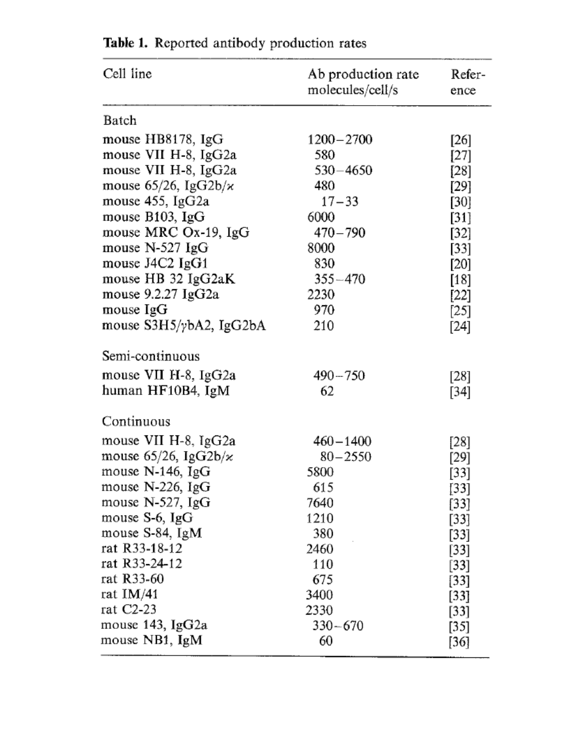| Cell line                          | Ab production rate<br>molecules/cell/s | Refer-<br>ence |
|------------------------------------|----------------------------------------|----------------|
| Batch                              |                                        |                |
| mouse HB8178, IgG                  | $1200 - 2700$                          | [26]           |
| mouse VII H-8, IgG2a               | 580                                    | [27]           |
| mouse VII H-8, IgG2a               | $530 - 4650$                           | [28]           |
| mouse $65/26$ , IgG2b/ $\varkappa$ | 480                                    | [29]           |
| mouse 455, IgG2a                   | $17 - 33$                              | [30]           |
| mouse B103, IgG                    | 6000                                   | [31]           |
| mouse MRC Ox-19, IgG               | $470 - 790$                            | [32]           |
| mouse $N-527$ IgG                  | 8000                                   | [33]           |
| mouse J4C2 IgG1                    | 830                                    | [20]           |
| mouse HB 32 IgG2aK                 | $355 - 470$                            | [18]           |
| mouse $9.2.27 \text{ IgG2a}$       | 2230                                   | $[22]$         |
| mouse IgG                          | 970                                    | $[25]$         |
| mouse S3H5/ybA2, IgG2bA            | 210                                    | [24]           |
| Semi-continuous                    |                                        |                |
| mouse VII H-8, IgG2a               | $490 - 750$                            | [28]           |
| human HF10B4, IgM                  | 62                                     | [34]           |
|                                    |                                        |                |
| Continuous                         |                                        |                |
| mouse VII H-8, IgG2a               | $460 - 1400$                           | [28]           |
| mouse 65/26, IgG2b/ $\varkappa$    | $80 - 2550$                            | [29]           |
| mouse $N-146$ , IgG                | 5800                                   | [33]           |
| mouse N-226, IgG                   | 615                                    | [33]           |
| mouse $N-527$ , IgG                | 7640                                   | [33]           |
| mouse S-6, IgG                     | 1210                                   | $[33]$         |
| mouse S-84, IgM                    | 380                                    | $[33]$         |
| rat R33-18-12                      | 2460                                   | $[33]$         |
| 1at R33-24-12                      | 110                                    | $[33]$         |
| rat R33-60                         | 675                                    | [33]           |
| rat IM/41                          | 3400                                   | [33]           |
| rat C2-23                          | 2330                                   | $[33]$         |
| mouse 143, IgG2a                   | $330 - 670$                            | [35]           |
| mouse NB1, IgM                     | 60                                     | [36]           |

Table 1. Reported antibody production rates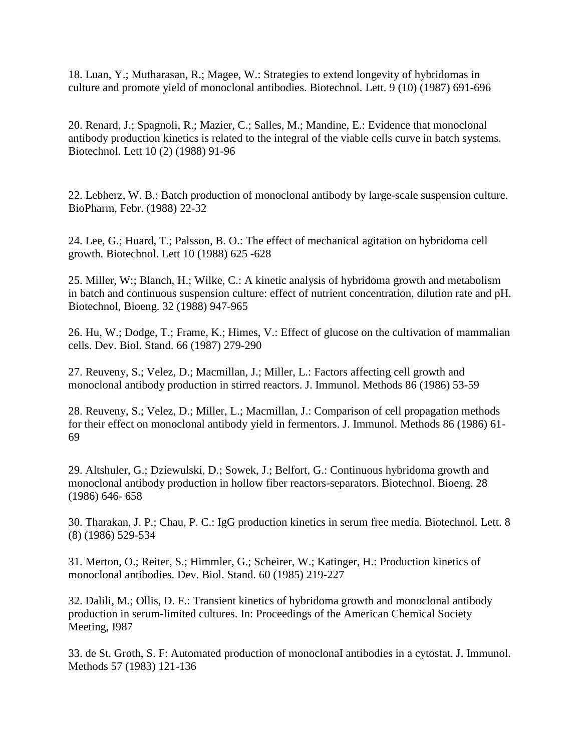18. Luan, Y.; Mutharasan, R.; Magee, W.: Strategies to extend longevity of hybridomas in culture and promote yield of monoclonal antibodies. Biotechnol. Lett. 9 (10) (1987) 691-696

20. Renard, J.; Spagnoli, R.; Mazier, C.; Salles, M.; Mandine, E.: Evidence that monoclonal antibody production kinetics is related to the integral of the viable cells curve in batch systems. Biotechnol. Lett 10 (2) (1988) 91-96

22. Lebherz, W. B.: Batch production of monoclonal antibody by large-scale suspension culture. BioPharm, Febr. (1988) 22-32

24. Lee, G.; Huard, T.; Palsson, B. O.: The effect of mechanical agitation on hybridoma cell growth. Biotechnol. Lett 10 (1988) 625 -628

25. Miller, W:; Blanch, H.; Wilke, C.: A kinetic analysis of hybridoma growth and metabolism in batch and continuous suspension culture: effect of nutrient concentration, dilution rate and pH. Biotechnol, Bioeng. 32 (1988) 947-965

26. Hu, W.; Dodge, T.; Frame, K.; Himes, V.: Effect of glucose on the cultivation of mammalian cells. Dev. Biol. Stand. 66 (1987) 279-290

27. Reuveny, S.; Velez, D.; Macmillan, J.; Miller, L.: Factors affecting cell growth and monoclonal antibody production in stirred reactors. J. Immunol. Methods 86 (1986) 53-59

28. Reuveny, S.; Velez, D.; Miller, L.; Macmillan, J.: Comparison of cell propagation methods for their effect on monoclonal antibody yield in fermentors. J. Immunol. Methods 86 (1986) 61- 69

29. Altshuler, G.; Dziewulski, D.; Sowek, J.; Belfort, G.: Continuous hybridoma growth and monoclonal antibody production in hollow fiber reactors-separators. Biotechnol. Bioeng. 28 (1986) 646- 658

30. Tharakan, J. P.; Chau, P. C.: IgG production kinetics in serum free media. Biotechnol. Lett. 8 (8) (1986) 529-534

31. Merton, O.; Reiter, S.; Himmler, G.; Scheirer, W.; Katinger, H.: Production kinetics of monoclonal antibodies. Dev. Biol. Stand. 60 (1985) 219-227

32. Dalili, M.; Ollis, D. F.: Transient kinetics of hybridoma growth and monoclonal antibody production in serum-limited cultures. In: Proceedings of the American Chemical Society Meeting, I987

33. de St. Groth, S. F: Automated production of monoclonaI antibodies in a cytostat. J. Immunol. Methods 57 (1983) 121-136